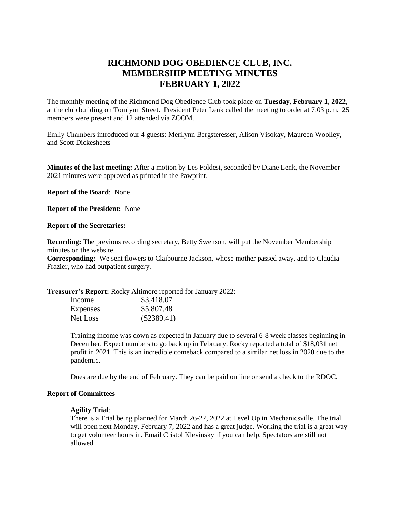# **RICHMOND DOG OBEDIENCE CLUB, INC. MEMBERSHIP MEETING MINUTES FEBRUARY 1, 2022**

The monthly meeting of the Richmond Dog Obedience Club took place on **Tuesday, February 1, 2022**, at the club building on Tomlynn Street. President Peter Lenk called the meeting to order at 7:03 p.m. 25 members were present and 12 attended via ZOOM.

Emily Chambers introduced our 4 guests: Merilynn Bergsteresser, Alison Visokay, Maureen Woolley, and Scott Dickesheets

**Minutes of the last meeting:** After a motion by Les Foldesi, seconded by Diane Lenk, the November 2021 minutes were approved as printed in the Pawprint.

**Report of the Board**: None

**Report of the President:** None

#### **Report of the Secretaries:**

**Recording:** The previous recording secretary, Betty Swenson, will put the November Membership minutes on the website.

**Corresponding:** We sent flowers to Claibourne Jackson, whose mother passed away, and to Claudia Frazier, who had outpatient surgery.

**Treasurer's Report:** Rocky Altimore reported for January 2022:

| Income          | \$3,418.07    |
|-----------------|---------------|
| <b>Expenses</b> | \$5,807.48    |
| Net Loss        | $(\$2389.41)$ |

Training income was down as expected in January due to several 6-8 week classes beginning in December. Expect numbers to go back up in February. Rocky reported a total of \$18,031 net profit in 2021. This is an incredible comeback compared to a similar net loss in 2020 due to the pandemic.

Dues are due by the end of February. They can be paid on line or send a check to the RDOC.

#### **Report of Committees**

#### **Agility Trial**:

There is a Trial being planned for March 26-27, 2022 at Level Up in Mechanicsville. The trial will open next Monday, February 7, 2022 and has a great judge. Working the trial is a great way to get volunteer hours in. Email Cristol Klevinsky if you can help. Spectators are still not allowed.